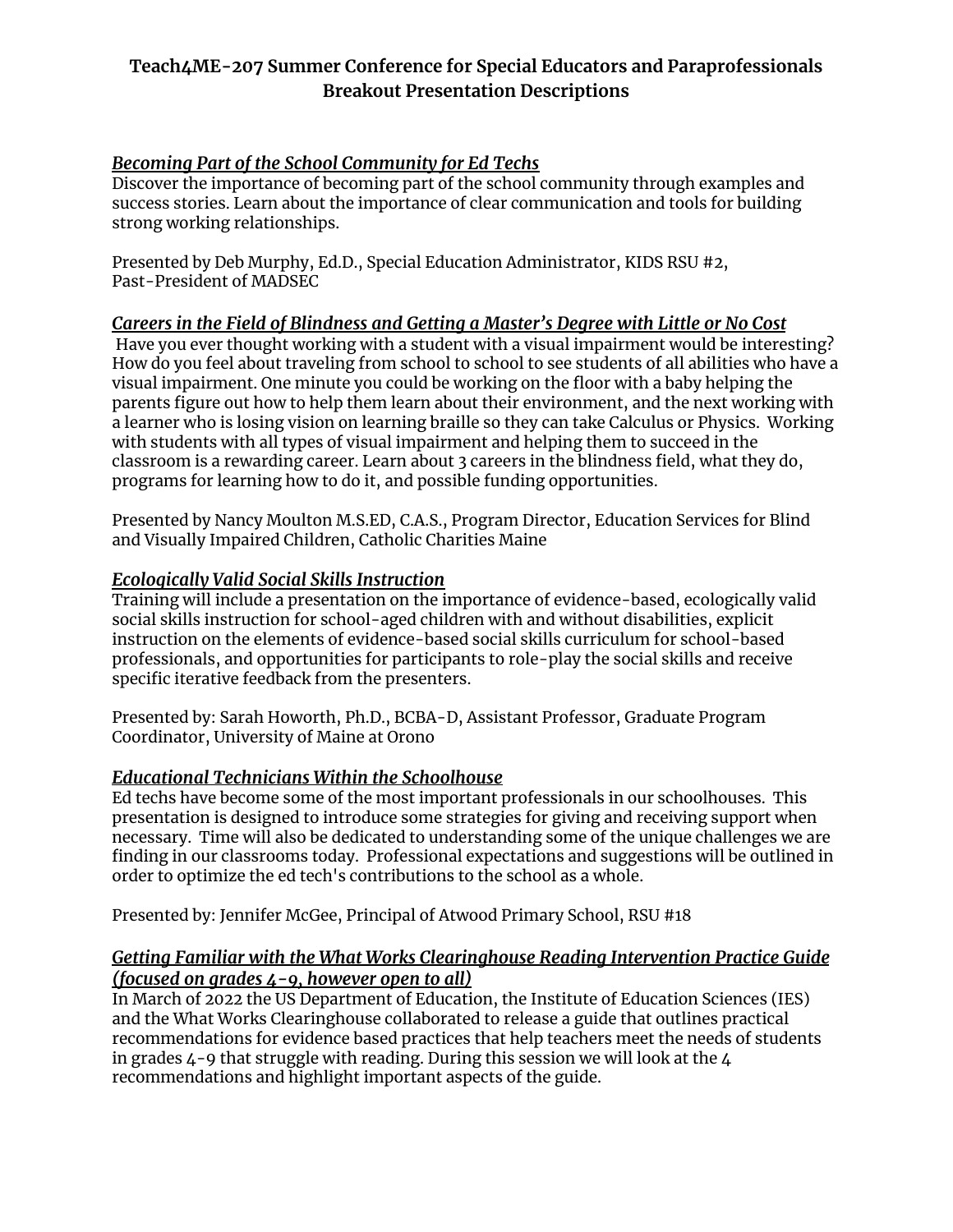# **Teach4ME-207 Summer Conference for Special Educators and Paraprofessionals Breakout Presentation Descriptions**

# *Becoming Part of the School Community for Ed Techs*

Discover the importance of becoming part of the school community through examples and success stories. Learn about the importance of clear communication and tools for building strong working relationships.

Presented by Deb Murphy, Ed.D., Special Education Administrator, KIDS RSU #2, Past-President of MADSEC

# *Careers in the Field of Blindness and Getting a Master's Degree with Little or No Cost*

Have you ever thought working with a student with a visual impairment would be interesting? How do you feel about traveling from school to school to see students of all abilities who have a visual impairment. One minute you could be working on the floor with a baby helping the parents figure out how to help them learn about their environment, and the next working with a learner who is losing vision on learning braille so they can take Calculus or Physics. Working with students with all types of visual impairment and helping them to succeed in the classroom is a rewarding career. Learn about 3 careers in the blindness field, what they do, programs for learning how to do it, and possible funding opportunities.

Presented by Nancy Moulton M.S.ED, C.A.S., Program Director, Education Services for Blind and Visually Impaired Children, Catholic Charities Maine

# *Ecologically Valid Social Skills Instruction*

Training will include a presentation on the importance of evidence-based, ecologically valid social skills instruction for school-aged children with and without disabilities, explicit instruction on the elements of evidence-based social skills curriculum for school-based professionals, and opportunities for participants to role-play the social skills and receive specific iterative feedback from the presenters.

Presented by: Sarah Howorth, Ph.D., BCBA-D, Assistant Professor, Graduate Program Coordinator, University of Maine at Orono

# *Educational Technicians Within the Schoolhouse*

Ed techs have become some of the most important professionals in our schoolhouses. This presentation is designed to introduce some strategies for giving and receiving support when necessary. Time will also be dedicated to understanding some of the unique challenges we are finding in our classrooms today. Professional expectations and suggestions will be outlined in order to optimize the ed tech's contributions to the school as a whole.

Presented by: Jennifer McGee, Principal of Atwood Primary School, RSU #18

## *Getting Familiar with the What Works Clearinghouse Reading Intervention Practice Guide (focused on grades 4-9, however open to all)*

In March of 2022 the US Department of Education, the Institute of Education Sciences (IES) and the What Works Clearinghouse collaborated to release a guide that outlines practical recommendations for evidence based practices that help teachers meet the needs of students in grades  $4$ -9 that struggle with reading. During this session we will look at the  $4$ recommendations and highlight important aspects of the guide.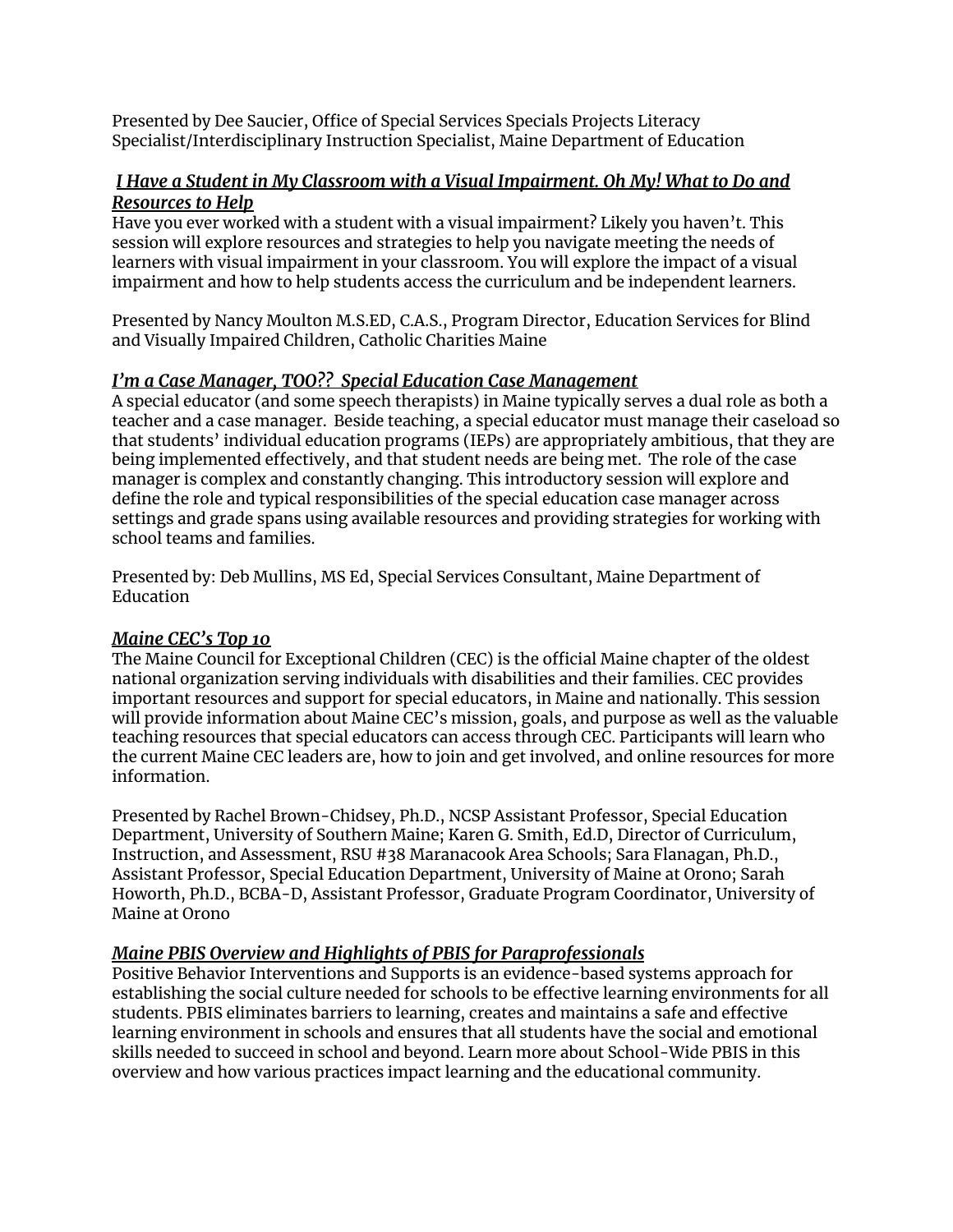Presented by Dee Saucier, Office of Special Services Specials Projects Literacy Specialist/Interdisciplinary Instruction Specialist, Maine Department of Education

## *I Have a Student in My Classroom with a Visual Impairment. Oh My! What to Do and Resources to Help*

Have you ever worked with a student with a visual impairment? Likely you haven't. This session will explore resources and strategies to help you navigate meeting the needs of learners with visual impairment in your classroom. You will explore the impact of a visual impairment and how to help students access the curriculum and be independent learners.

Presented by Nancy Moulton M.S.ED, C.A.S., Program Director, Education Services for Blind and Visually Impaired Children, Catholic Charities Maine

# *I'm a Case Manager, TOO?? Special Education Case Management*

A special educator (and some speech therapists) in Maine typically serves a dual role as both a teacher and a case manager. Beside teaching, a special educator must manage their caseload so that students' individual education programs (IEPs) are appropriately ambitious, that they are being implemented effectively, and that student needs are being met. The role of the case manager is complex and constantly changing. This introductory session will explore and define the role and typical responsibilities of the special education case manager across settings and grade spans using available resources and providing strategies for working with school teams and families.

Presented by: Deb Mullins, MS Ed, Special Services Consultant, Maine Department of Education

#### *Maine CEC's Top 10*

The Maine Council for Exceptional Children (CEC) is the official Maine chapter of the oldest national organization serving individuals with disabilities and their families. CEC provides important resources and support for special educators, in Maine and nationally. This session will provide information about Maine CEC's mission, goals, and purpose as well as the valuable teaching resources that special educators can access through CEC. Participants will learn who the current Maine CEC leaders are, how to join and get involved, and online resources for more information.

Presented by Rachel Brown-Chidsey, Ph.D., NCSP Assistant Professor, Special Education Department, University of Southern Maine; Karen G. Smith, Ed.D, Director of Curriculum, Instruction, and Assessment, RSU #38 Maranacook Area Schools; Sara Flanagan, Ph.D., Assistant Professor, Special Education Department, University of Maine at Orono; Sarah Howorth, Ph.D., BCBA-D, Assistant Professor, Graduate Program Coordinator, University of Maine at Orono

# *Maine PBIS Overview and Highlights of PBIS for Paraprofessionals*

Positive Behavior Interventions and Supports is an evidence-based systems approach for establishing the social culture needed for schools to be effective learning environments for all students. PBIS eliminates barriers to learning, creates and maintains a safe and effective learning environment in schools and ensures that all students have the social and emotional skills needed to succeed in school and beyond. Learn more about School-Wide PBIS in this overview and how various practices impact learning and the educational community.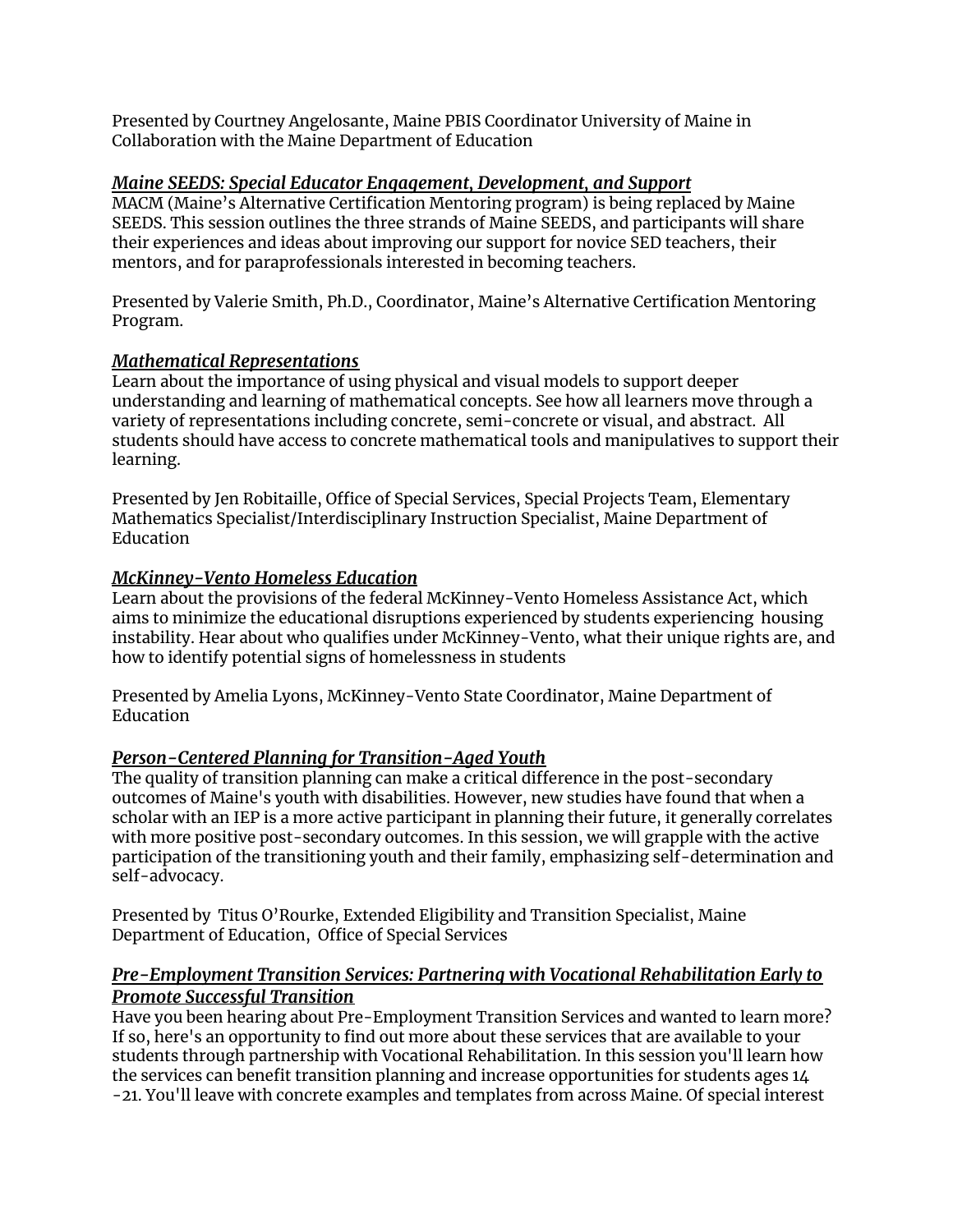Presented by Courtney Angelosante, Maine PBIS Coordinator University of Maine in Collaboration with the Maine Department of Education

## *Maine SEEDS: Special Educator Engagement, Development, and Support*

MACM (Maine's Alternative Certification Mentoring program) is being replaced by Maine SEEDS. This session outlines the three strands of Maine SEEDS, and participants will share their experiences and ideas about improving our support for novice SED teachers, their mentors, and for paraprofessionals interested in becoming teachers.

Presented by Valerie Smith, Ph.D., Coordinator, Maine's Alternative Certification Mentoring Program.

#### *Mathematical Representations*

Learn about the importance of using physical and visual models to support deeper understanding and learning of mathematical concepts. See how all learners move through a variety of representations including concrete, semi-concrete or visual, and abstract. All students should have access to concrete mathematical tools and manipulatives to support their learning.

Presented by Jen Robitaille, Office of Special Services, Special Projects Team, Elementary Mathematics Specialist/Interdisciplinary Instruction Specialist, Maine Department of Education

## *McKinney-Vento Homeless Education*

Learn about the provisions of the federal McKinney-Vento Homeless Assistance Act, which aims to minimize the educational disruptions experienced by students experiencing housing instability. Hear about who qualifies under McKinney-Vento, what their unique rights are, and how to identify potential signs of homelessness in students

Presented by Amelia Lyons, McKinney-Vento State Coordinator, Maine Department of Education

# *Person-Centered Planning for Transition-Aged Youth*

The quality of transition planning can make a critical difference in the post-secondary outcomes of Maine's youth with disabilities. However, new studies have found that when a scholar with an IEP is a more active participant in planning their future, it generally correlates with more positive post-secondary outcomes. In this session, we will grapple with the active participation of the transitioning youth and their family, emphasizing self-determination and self-advocacy.

Presented by Titus O'Rourke, Extended Eligibility and Transition Specialist, Maine Department of Education, Office of Special Services

## *Pre-Employment Transition Services: Partnering with Vocational Rehabilitation Early to Promote Successful Transition*

Have you been hearing about Pre-Employment Transition Services and wanted to learn more? If so, here's an opportunity to find out more about these services that are available to your students through partnership with Vocational Rehabilitation. In this session you'll learn how the services can benefit transition planning and increase opportunities for students ages 14 -21. You'll leave with concrete examples and templates from across Maine. Of special interest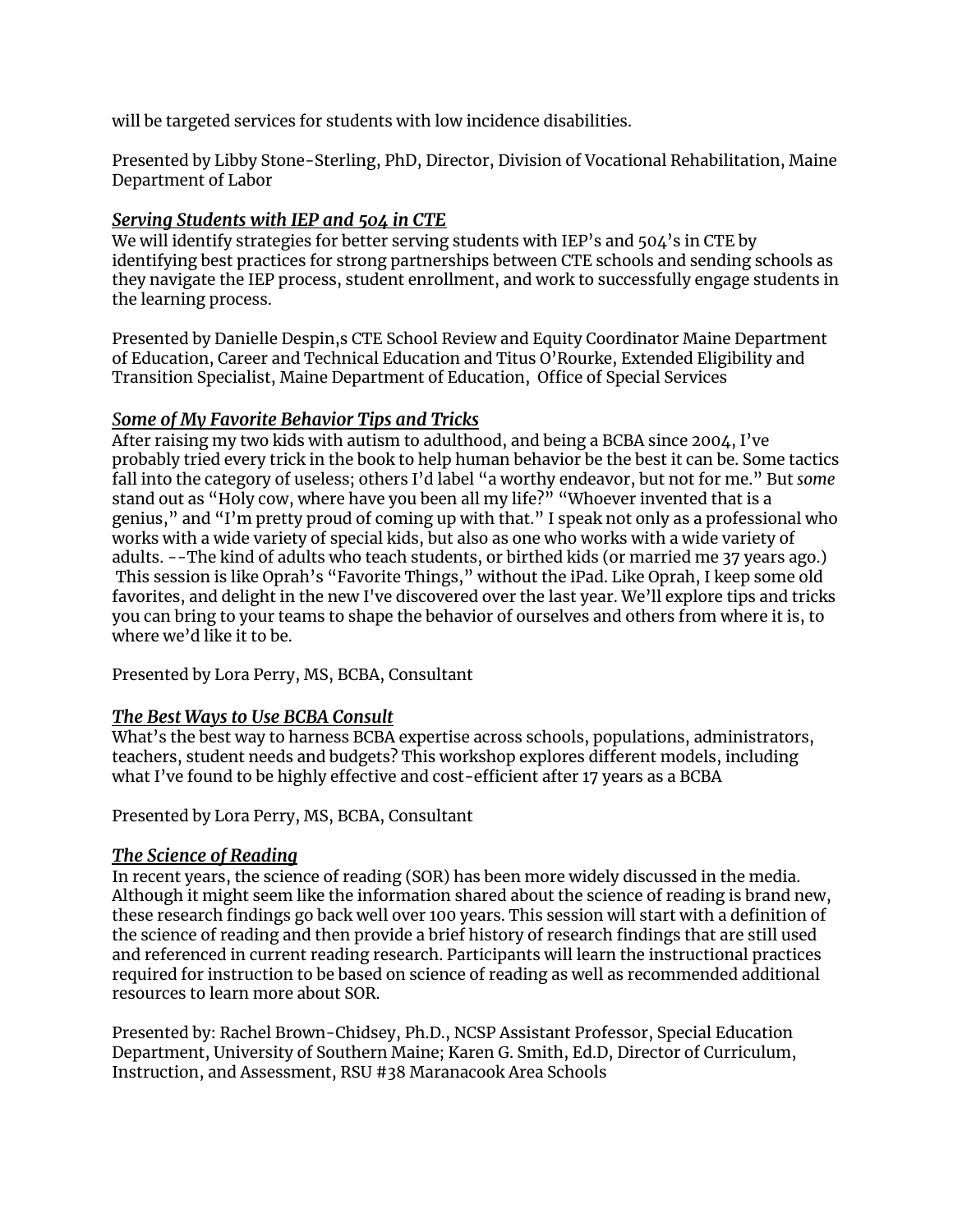will be targeted services for students with low incidence disabilities.

Presented by Libby Stone-Sterling, PhD, Director, Division of Vocational Rehabilitation, Maine Department of Labor

# *Serving Students with IEP and 504 in CTE*

We will identify strategies for better serving students with IEP's and 504's in CTE by identifying best practices for strong partnerships between CTE schools and sending schools as they navigate the IEP process, student enrollment, and work to successfully engage students in the learning process.

Presented by Danielle Despin,s CTE School Review and Equity Coordinator Maine Department of Education, Career and Technical Education and Titus O'Rourke, Extended Eligibility and Transition Specialist, Maine Department of Education, Office of Special Services

# *Some of My Favorite Behavior Tips and Tricks*

After raising my two kids with autism to adulthood, and being a BCBA since 2004, I've probably tried every trick in the book to help human behavior be the best it can be. Some tactics fall into the category of useless; others I'd label "a worthy endeavor, but not for me." But *some* stand out as "Holy cow, where have you been all my life?" "Whoever invented that is a genius," and "I'm pretty proud of coming up with that." I speak not only as a professional who works with a wide variety of special kids, but also as one who works with a wide variety of adults. --The kind of adults who teach students, or birthed kids (or married me 37 years ago.) This session is like Oprah's "Favorite Things," without the iPad. Like Oprah, I keep some old favorites, and delight in the new I've discovered over the last year. We'll explore tips and tricks you can bring to your teams to shape the behavior of ourselves and others from where it is, to where we'd like it to be.

Presented by Lora Perry, MS, BCBA, Consultant

#### *The Best Ways to Use BCBA Consult*

What's the best way to harness BCBA expertise across schools, populations, administrators, teachers, student needs and budgets? This workshop explores different models, including what I've found to be highly effective and cost-efficient after 17 years as a BCBA

Presented by Lora Perry, MS, BCBA, Consultant

#### *The Science of Reading*

In recent years, the science of reading (SOR) has been more widely discussed in the media. Although it might seem like the information shared about the science of reading is brand new, these research findings go back well over 100 years. This session will start with a definition of the science of reading and then provide a brief history of research findings that are still used and referenced in current reading research. Participants will learn the instructional practices required for instruction to be based on science of reading as well as recommended additional resources to learn more about SOR.

Presented by: Rachel Brown-Chidsey, Ph.D., NCSP Assistant Professor, Special Education Department, University of Southern Maine; Karen G. Smith, Ed.D, Director of Curriculum, Instruction, and Assessment, RSU #38 Maranacook Area Schools